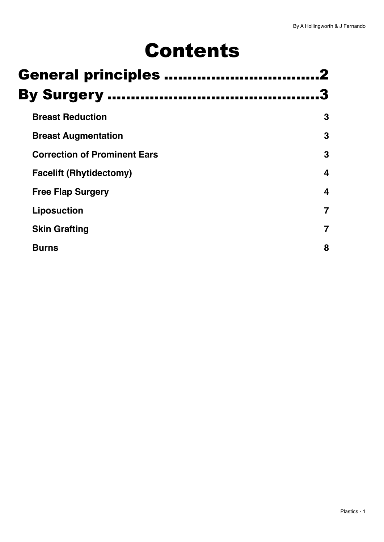# Contents

|                    | <b>General principles </b>          |   |  |  |  |  |
|--------------------|-------------------------------------|---|--|--|--|--|
| <b>By Surgery </b> |                                     |   |  |  |  |  |
|                    | <b>Breast Reduction</b>             | 3 |  |  |  |  |
|                    | <b>Breast Augmentation</b>          | 3 |  |  |  |  |
|                    | <b>Correction of Prominent Ears</b> | 3 |  |  |  |  |
|                    | <b>Facelift (Rhytidectomy)</b>      | 4 |  |  |  |  |
|                    | <b>Free Flap Surgery</b>            | 4 |  |  |  |  |
|                    | <b>Liposuction</b>                  |   |  |  |  |  |
|                    | <b>Skin Grafting</b>                |   |  |  |  |  |
|                    | <b>Burns</b>                        | 8 |  |  |  |  |
|                    |                                     |   |  |  |  |  |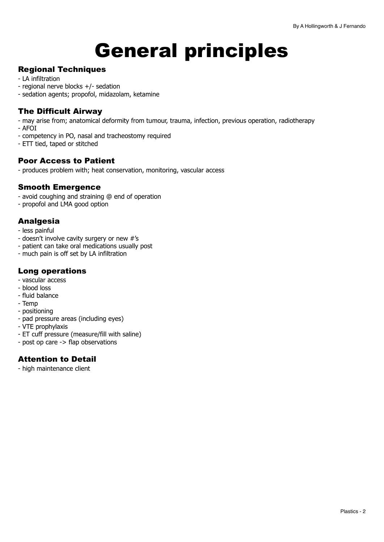# <span id="page-1-0"></span>General principles

#### Regional Techniques

- LA infiltration
- regional nerve blocks +/- sedation
- sedation agents; propofol, midazolam, ketamine

#### The Difficult Airway

- may arise from; anatomical deformity from tumour, trauma, infection, previous operation, radiotherapy
- AFOI
- competency in PO, nasal and tracheostomy required
- ETT tied, taped or stitched

#### Poor Access to Patient

- produces problem with; heat conservation, monitoring, vascular access

#### Smooth Emergence

- avoid coughing and straining @ end of operation
- propofol and LMA good option

#### Analgesia

- less painful
- doesn't involve cavity surgery or new #'s
- patient can take oral medications usually post
- much pain is off set by LA infiltration

#### Long operations

- vascular access
- blood loss
- fluid balance
- Temp
- positioning
- pad pressure areas (including eyes)
- VTE prophylaxis
- ET cuff pressure (measure/fill with saline)
- post op care -> flap observations

#### Attention to Detail

- high maintenance client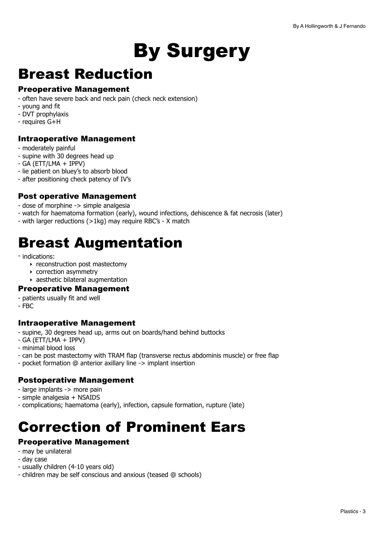# <span id="page-2-0"></span>By Surgery

## <span id="page-2-1"></span>Breast Reduction

#### Preoperative Management

- often have severe back and neck pain (check neck extension)
- young and fit
- DVT prophylaxis
- requires G+H

#### Intraoperative Management

- moderately painful
- supine with 30 degrees head up
- GA (ETT/LMA + IPPV)
- lie patient on bluey's to absorb blood
- after positioning check patency of IV's

#### Post operative Management

- dose of morphine -> simple analgesia
- watch for haematoma formation (early), wound infections, dehiscence & fat necrosis (later)
- with larger reductions (>1kg) may require RBC's X match

## <span id="page-2-2"></span>Breast Augmentation

- indications:
	- ‣ reconstruction post mastectomy
	- ‣ correction asymmetry
	- ‣ aesthetic bilateral augmentation

#### Preoperative Management

- patients usually fit and well
- FBC

#### Intraoperative Management

- supine, 30 degrees head up, arms out on boards/hand behind buttocks
- GA (ETT/LMA + IPPV)
- minimal blood loss
- can be post mastectomy with TRAM flap (transverse rectus abdominis muscle) or free flap
- pocket formation @ anterior axillary line -> implant insertion

#### Postoperative Management

- large implants -> more pain
- simple analgesia + NSAIDS
- complications; haematoma (early), infection, capsule formation, rupture (late)

## <span id="page-2-3"></span>Correction of Prominent Ears

#### Preoperative Management

- may be unilateral
- day case
- usually children (4-10 years old)
- children may be self conscious and anxious (teased @ schools)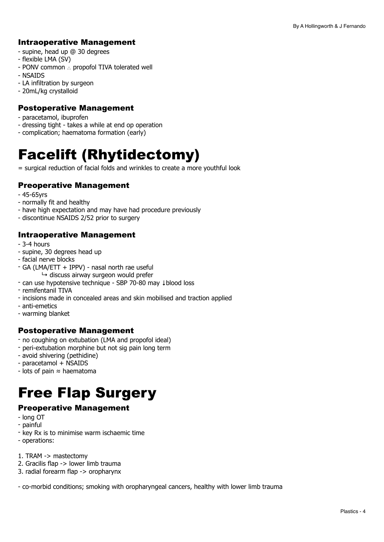#### Intraoperative Management

- supine, head up @ 30 degrees
- flexible LMA (SV)
- PONV common ∴ propofol TIVA tolerated well
- NSAIDS
- LA infiltration by surgeon
- 20mL/kg crystalloid

#### Postoperative Management

- paracetamol, ibuprofen
- dressing tight takes a while at end op operation
- complication; haematoma formation (early)

## <span id="page-3-0"></span>Facelift (Rhytidectomy)

= surgical reduction of facial folds and wrinkles to create a more youthful look

#### Preoperative Management

- 45-65yrs
- normally fit and healthy
- have high expectation and may have had procedure previously
- discontinue NSAIDS 2/52 prior to surgery

#### Intraoperative Management

- 3-4 hours
- supine, 30 degrees head up
- facial nerve blocks
- GA (LMA/ETT + IPPV) nasal north rae useful
	- $\rightarrow$  discuss airway surgeon would prefer
- can use hypotensive technique SBP 70-80 may ↓blood loss
- remifentanil TIVA
- incisions made in concealed areas and skin mobilised and traction applied
- anti-emetics
- warming blanket

#### Postoperative Management

- no coughing on extubation (LMA and propofol ideal)
- peri-extubation morphine but not sig pain long term
- avoid shivering (pethidine)
- paracetamol + NSAIDS
- lots of pain ≈ haematoma

## <span id="page-3-1"></span>Free Flap Surgery

#### Preoperative Management

- long OT
- painful
- key Rx is to minimise warm ischaemic time
- operations:
- 1. TRAM -> mastectomy
- 2. Gracilis flap -> lower limb trauma
- 3. radial forearm flap -> oropharynx

- co-morbid conditions; smoking with oropharyngeal cancers, healthy with lower limb trauma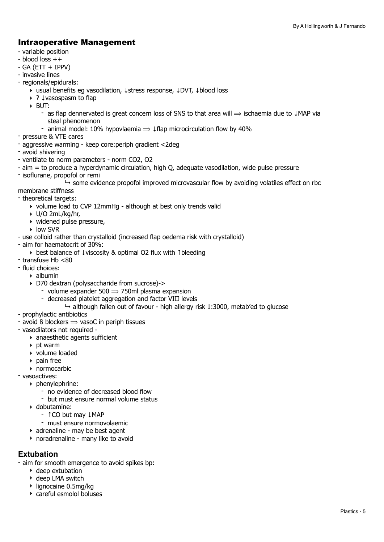#### Intraoperative Management

- variable position
- blood loss ++
- $-$  GA (ETT  $+$  IPPV)
- invasive lines
- regionals/epidurals:
	- ‣ usual benefits eg vasodilation, ↓stress response, ↓DVT, ↓blood loss
	- ‣ ? ↓vasospasm to flap
	- ‣ BUT:
		- as flap dennervated is great concern loss of SNS to that area will  $\Rightarrow$  ischaemia due to  $\downarrow$ MAP via steal phenomenon
		- animal model: 10% hypovlaemia  $\Rightarrow$   $\downarrow$  flap microcirculation flow by 40%
- pressure & VTE cares
- aggressive warming keep core:periph gradient <2deg
- avoid shivering
- ventilate to norm parameters norm CO2, O2
- aim = to produce a hyperdynamic circulation, high Q, adequate vasodilation, wide pulse pressure
- isoflurane, propofol or remi

 $\rightarrow$  some evidence propofol improved microvascular flow by avoiding volatiles effect on rbc

membrane stiffness

- theoretical targets:
	- ‣ volume load to CVP 12mmHg although at best only trends valid
	- ‣ U/O 2mL/kg/hr,
	- ‣ widened pulse pressure,
	- ‣ low SVR
- use colloid rather than crystalloid (increased flap oedema risk with crystalloid)
- aim for haematocrit of 30%:
	- ‣ best balance of ↓viscosity & optimal O2 flux with ↑bleeding
- transfuse Hb <80
- fluid choices:
	- ‣ albumin
	- ‣ D70 dextran (polysaccharide from sucrose)->
		- volume expander  $500 \Rightarrow 750$ ml plasma expansion
		- decreased platelet aggregation and factor VIII levels
			- $\rightarrow$  although fallen out of favour high allergy risk 1:3000, metab'ed to glucose
- prophylactic antibiotics
- avoid  $\beta$  blockers  $\Rightarrow$  vasoC in periph tissues
- vasodilators not required
	- ‣ anaesthetic agents sufficient
	- $\rightarrow$  pt warm
	- ‣ volume loaded
	- ‣ pain free
	- ‣ normocarbic
- vasoactives:
	- ‣ phenylephrine:
		- no evidence of decreased blood flow
		- but must ensure normal volume status
	- ‣ dobutamine:
		- ↑CO but may ↓MAP
		- must ensure normovolaemic
	- ‣ adrenaline may be best agent
	- ‣ noradrenaline many like to avoid

#### **Extubation**

- aim for smooth emergence to avoid spikes bp:

- ‣ deep extubation
- ‣ deep LMA switch
- ‣ lignocaine 0.5mg/kg
- ‣ careful esmolol boluses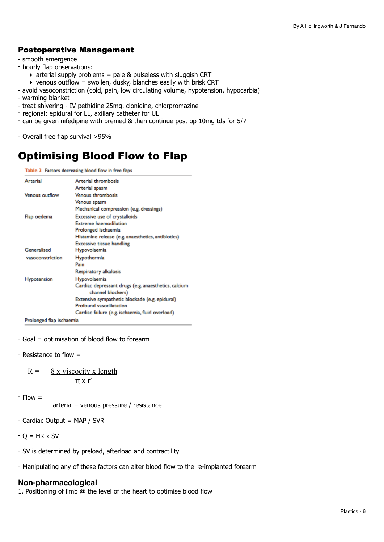#### Postoperative Management

- smooth emergence
- hourly flap observations:
	- $\rightarrow$  arterial supply problems = pale & pulseless with sluggish CRT
	- $\rightarrow$  venous outflow = swollen, dusky, blanches easily with brisk CRT
- avoid vasoconstriction (cold, pain, low circulating volume, hypotension, hypocarbia)
- warming blanket
- treat shivering IV pethidine 25mg. clonidine, chlorpromazine
- regional; epidural for LL, axillary catheter for UL
- can be given nifedipine with premed & then continue post op 10mg tds for 5/7
- Overall free flap survival >95%

### Optimising Blood Flow to Flap

Table 3 Factors decreasing blood flow in free flaps

| Arterial                 | Arterial thrombosis                                                       |  |  |  |
|--------------------------|---------------------------------------------------------------------------|--|--|--|
|                          | Arterial spasm                                                            |  |  |  |
| Venous outflow           | <b>Venous thrombosis</b><br>Venous spasm                                  |  |  |  |
|                          |                                                                           |  |  |  |
|                          | Mechanical compression (e.g. dressings)                                   |  |  |  |
| Flap oedema              | Excessive use of crystalloids                                             |  |  |  |
|                          | <b>Extreme haemodilution</b>                                              |  |  |  |
|                          | Prolonged ischaemia                                                       |  |  |  |
|                          | Histamine release (e.g. anaesthetics, antibiotics)                        |  |  |  |
|                          | <b>Excessive tissue handling</b>                                          |  |  |  |
| Generalised              | Hypovolaemia                                                              |  |  |  |
| vasoconstriction         | Hypothermia                                                               |  |  |  |
|                          | Pain                                                                      |  |  |  |
|                          | Respiratory alkalosis                                                     |  |  |  |
| <b>Hypotension</b>       | Hypovolaemia                                                              |  |  |  |
|                          | Cardiac depressant drugs (e.g. anaesthetics, calcium<br>channel blockers) |  |  |  |
|                          | Extensive sympathetic blockade (e.g. epidural)<br>Profound vasodilatation |  |  |  |
|                          | Cardiac failure (e.g. ischaemia, fluid overload)                          |  |  |  |
| Prolonged flap ischaemia |                                                                           |  |  |  |

- Goal = optimisation of blood flow to forearm
- Resistance to flow =

 $R = 8x$  viscocity x length π x r<sup>4</sup>

 $-$  Flow  $=$ 

arterial – venous pressure / resistance

- Cardiac Output = MAP / SVR
- $-$  O = HR  $\times$  SV
- SV is determined by preload, afterload and contractility
- Manipulating any of these factors can alter blood flow to the re-implanted forearm

#### **Non-pharmacological**

1. Positioning of limb @ the level of the heart to optimise blood flow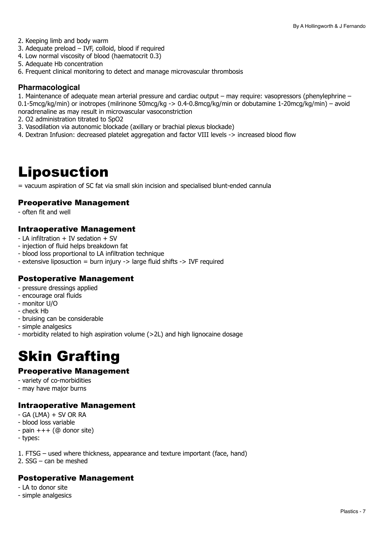- 2. Keeping limb and body warm
- 3. Adequate preload IVF, colloid, blood if required
- 4. Low normal viscosity of blood (haematocrit 0.3)
- 5. Adequate Hb concentration
- 6. Frequent clinical monitoring to detect and manage microvascular thrombosis

#### **Pharmacological**

1. Maintenance of adequate mean arterial pressure and cardiac output – may require: vasopressors (phenylephrine – 0.1-5mcg/kg/min) or inotropes (milrinone 50mcg/kg -> 0.4-0.8mcg/kg/min or dobutamine 1-20mcg/kg/min) – avoid

- noradrenaline as may result in microvascular vasoconstriction
- 2. O2 administration titrated to SpO2
- 3. Vasodilation via autonomic blockade (axillary or brachial plexus blockade)
- 4. Dextran Infusion: decreased platelet aggregation and factor VIII levels -> increased blood flow

### <span id="page-6-0"></span>Liposuction

= vacuum aspiration of SC fat via small skin incision and specialised blunt-ended cannula

#### Preoperative Management

- often fit and well

#### Intraoperative Management

- LA infiltration + IV sedation + SV
- injection of fluid helps breakdown fat
- blood loss proportional to LA infiltration technique
- extensive liposuction = burn injury -> large fluid shifts -> IVF required

#### Postoperative Management

- pressure dressings applied
- encourage oral fluids
- monitor U/O
- check Hb
- bruising can be considerable
- simple analgesics
- morbidity related to high aspiration volume (>2L) and high lignocaine dosage

## <span id="page-6-1"></span>Skin Grafting

#### Preoperative Management

- variety of co-morbidities
- may have major burns

#### Intraoperative Management

- $-$  GA (LMA)  $+$  SV OR RA
- blood loss variable
- $-pain +++(@$  donor site)
- types:

1. FTSG – used where thickness, appearance and texture important (face, hand)

2. SSG – can be meshed

#### Postoperative Management

- LA to donor site
- simple analgesics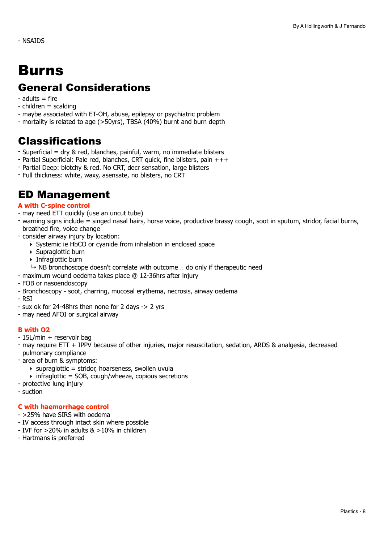## <span id="page-7-0"></span>Burns

### General Considerations

- $-$  adults  $=$  fire
- $-$  children  $=$  scalding
- maybe associated with ET-OH, abuse, epilepsy or psychiatric problem
- mortality is related to age (>50yrs), TBSA (40%) burnt and burn depth

### Classifications

- Superficial = dry & red, blanches, painful, warm, no immediate blisters
- Partial Superficial: Pale red, blanches, CRT quick, fine blisters, pain +++
- Partial Deep: blotchy & red. No CRT, decr sensation, large blisters
- Full thickness: white, waxy, asensate, no blisters, no CRT

### ED Management

#### **A with C-spine control**

- may need ETT quickly (use an uncut tube)
- warning signs include = singed nasal hairs, horse voice, productive brassy cough, soot in sputum, stridor, facial burns, breathed fire, voice change
- consider airway injury by location:
	- ‣ Systemic ie HbCO or cyanide from inhalation in enclosed space
	- ‣ Supraglottic burn
	- ‣ Infraglottic burn
	- ↳ NB bronchoscope doesn't correlate with outcome ∴ do only if therapeutic need
- maximum wound oedema takes place @ 12-36hrs after injury
- FOB or nasoendoscopy
- Bronchoscopy soot, charring, mucosal erythema, necrosis, airway oedema
- RSI
- sux ok for 24-48hrs then none for 2 days -> 2 yrs
- may need AFOI or surgical airway

#### **B with O2**

- 15L/min + reservoir bag
- may require ETT + IPPV because of other injuries, major resuscitation, sedation, ARDS & analgesia, decreased pulmonary compliance
- area of burn & symptoms:
	- $\rightarrow$  supraglottic = stridor, hoarseness, swollen uvula
	- $\rightarrow$  infraglottic = SOB, cough/wheeze, copious secretions
- protective lung injury
- suction

#### **C with haemorrhage control**

- >25% have SIRS with oedema
- IV access through intact skin where possible
- IVF for  $>20\%$  in adults  $\&$   $>10\%$  in children
- Hartmans is preferred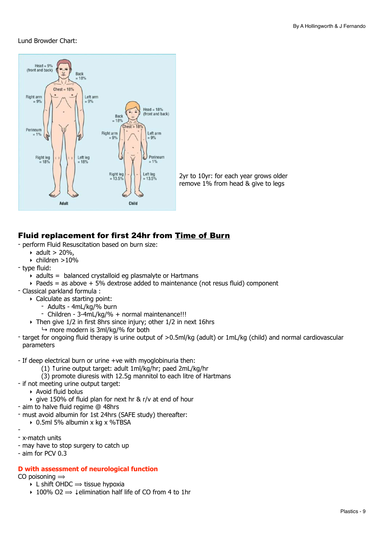#### Lund Browder Chart:





#### Fluid replacement for first 24hr from Time of Burn

- perform Fluid Resuscitation based on burn size:
	- $\triangleright$  adult > 20%,
	- $\triangleright$  children >10%
- type fluid:
	- $\rightarrow$  adults = balanced crystalloid eg plasmalyte or Hartmans
	- $\rightarrow$  Paeds = as above  $+5\%$  dextrose added to maintenance (not resus fluid) component
- Classical parkland formula :
	- ‣ Calculate as starting point:
		- Adults 4mL/kg/% burn
		- Children 3-4mL/kg/% + normal maintenance!!!
	- ‣ Then give 1/2 in first 8hrs since injury; other 1/2 in next 16hrs
		- $\rightarrow$  more modern is 3ml/kg/% for both
- target for ongoing fluid therapy is urine output of >0.5ml/kg (adult) or 1mL/kg (child) and normal cardiovascular parameters

- If deep electrical burn or urine +ve with myoglobinuria then:

- (1) ↑urine output target: adult 1ml/kg/hr; paed 2mL/kg/hr
- (3) promote diuresis with 12.5g mannitol to each litre of Hartmans
- if not meeting urine output target:
	- ‣ Avoid fluid bolus
	- ‣ give 150% of fluid plan for next hr & r/v at end of hour
- aim to halve fluid regime @ 48hrs
- must avoid albumin for 1st 24hrs (SAFE study) thereafter:
	- ‣ 0.5ml 5% albumin x kg x %TBSA
- - x-match units
- may have to stop surgery to catch up
- aim for PCV 0.3

#### **D with assessment of neurological function**

CO poisoning  $\Rightarrow$ 

- $\rightarrow$  L shift OHDC  $\rightarrow$  tissue hypoxia
- $\rightarrow$  100% O2  $\Rightarrow$  1 elimination half life of CO from 4 to 1 hr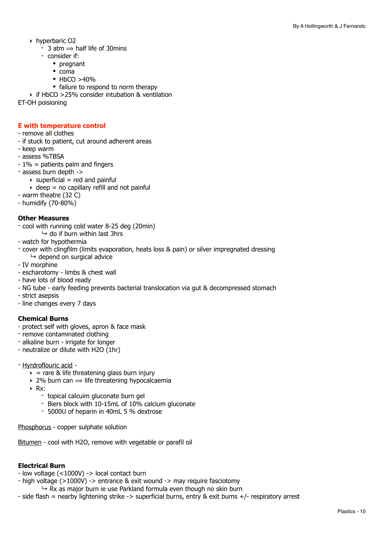- ‣ hyperbaric O2
	- $-$  3 atm  $\Rightarrow$  half life of 30mins
	- consider if:
		- pregnant
		- coma
		- $\cdot$  HbCO  $>40\%$
		- failure to respond to norm therapy

‣ if HbCO >25% consider intubation & ventilation

ET-OH poisioning

#### **E with temperature control**

- remove all clothes
- if stuck to patient, cut around adherent areas
- keep warm
- assess %TBSA
- 1% = patients palm and fingers
- assess burn depth ->
- $\rightarrow$  superficial = red and painful
	- $\rightarrow$  deep = no capillary refill and not painful

- warm theatre (32 C)

- humidify (70-80%)

#### **Other Measures**

- cool with running cold water 8-25 deg (20min)
	- $\mapsto$  do if burn within last 3hrs
- watch for hypothermia
- cover with clingfilm (limits evaporation, heats loss & pain) or silver impregnated dressing  $ightharpoonup$  depend on surgical advice
- IV morphine
- escharotomy limbs & chest wall
- have lots of blood ready
- NG tube early feeding prevents bacterial translocation via gut & decompressed stomach
- strict asepsis
- line changes every 7 days

#### **Chemical Burns**

- protect self with gloves, apron & face mask
- remove contaminated clothing
- alkaline burn irrigate for longer
- neutralize or dilute with H2O (1hr)
- Hyrdroflouric acid
	- $\rightarrow$  = rare & life threatening glass burn injury
	- $\rightarrow$  2% burn can  $\rightarrow$  life threatening hypocalcaemia
	- ‣ Rx:
		- topical calcuim gluconate burn gel
		- Biers block with 10-15mL of 10% calcium gluconate
		- 5000U of heparin in 40mL 5 % dextrose

Phosphorus - copper sulphate solution

Bitumen - cool with H2O, remove with vegetable or parafil oil

#### **Electrical Burn**

- low voltage (<1000V) -> local contact burn
- high voltage (>1000V) -> entrance & exit wound -> may require fasciotomy
	- $\rightarrow$  Rx as major burn ie use Parkland formula even though no skin burn
- side flash = nearby lightening strike -> superficial burns, entry & exit burns +/- respiratory arrest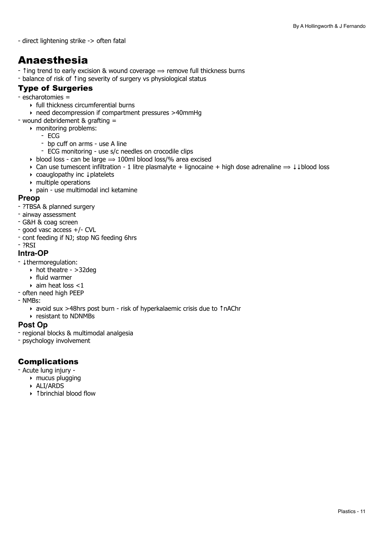- direct lightening strike -> often fatal

### Anaesthesia

-  $\hat{\tau}$  ing trend to early excision & wound coverage  $\Rightarrow$  remove full thickness burns

- balance of risk of ↑ing severity of surgery vs physiological status

#### Type of Surgeries

#### - escharotomies =

- ‣ full thickness circumferential burns
- ‣ need decompression if compartment pressures >40mmHg
- wound debridement & grafting =
	- ‣ monitoring problems:
		- ECG
		- bp cuff on arms use A line<br>- ECG monitoring use s/c ne
		- ECG monitoring use s/c needles on crocodile clips
	- $\rightarrow$  blood loss can be large  $\rightarrow$  100ml blood loss/% area excised
	- $\triangleright$  Can use tumescent infiltration 1 litre plasmalyte + lignocaine + high dose adrenaline  $\Rightarrow \downarrow \downarrow$  blood loss
	- ‣ coauglopathy inc ↓platelets
	- ‣ multiple operations
	- ‣ pain use multimodal incl ketamine

#### **Preop**

- ?TBSA & planned surgery
- airway assessment
- G&H & coag screen
- good vasc access +/- CVL
- cont feeding if NJ; stop NG feeding 6hrs
- ?RSI

#### **Intra-OP**

- ↓thermoregulation:
	- ‣ hot theatre >32deg
	- ‣ fluid warmer
	- $\rightarrow$  aim heat loss <1
- often need high PEEP
- NMBs:
	- ‣ avoid sux >48hrs post burn risk of hyperkalaemic crisis due to ↑nAChr
	- ‣ resistant to NDNMBs

#### **Post Op**

- regional blocks & multimodal analgesia
- psychology involvement

#### Complications

- Acute lung injury
	- $\rightarrow$  mucus plugging
	- ‣ ALI/ARDS
	- ‣ ↑brinchial blood flow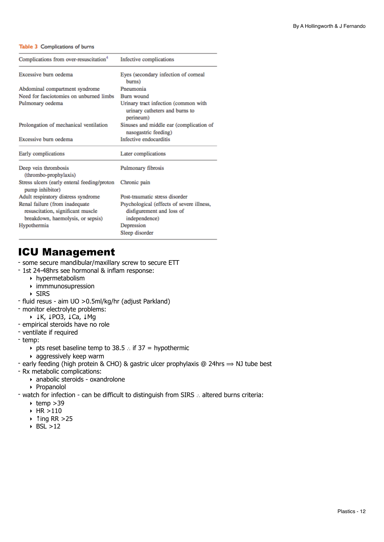#### Table 3 Complications of burns

| Complications from over-resuscitation <sup>4</sup>                                                       | Infective complications                                                                 |  |
|----------------------------------------------------------------------------------------------------------|-----------------------------------------------------------------------------------------|--|
| Excessive burn oedema                                                                                    | Eyes (secondary infection of corneal<br>burns)                                          |  |
| Abdominal compartment syndrome                                                                           | Pneumonia                                                                               |  |
| Need for fasciotomies on unburned limbs                                                                  | Burn wound                                                                              |  |
| Pulmonary oedema                                                                                         | Urinary tract infection (common with<br>urinary catheters and burns to<br>perineum)     |  |
| Prolongation of mechanical ventilation                                                                   | Sinuses and middle ear (complication of<br>nasogastric feeding)                         |  |
| Excessive burn oedema                                                                                    | Infective endocarditis                                                                  |  |
| Early complications                                                                                      | Later complications                                                                     |  |
| Deep vein thrombosis<br>(thrombo-prophylaxis)                                                            | Pulmonary fibrosis                                                                      |  |
| Stress ulcers (early enteral feeding/proton<br>pump inhibitor)                                           | Chronic pain                                                                            |  |
| Adult respiratory distress syndrome                                                                      | Post-traumatic stress disorder                                                          |  |
| Renal failure (from inadequate<br>resuscitation, significant muscle<br>breakdown, haemolysis, or sepsis) | Psychological (effects of severe illness,<br>disfigurement and loss of<br>independence) |  |
| Hypothermia                                                                                              | Depression                                                                              |  |
|                                                                                                          | Sleep disorder                                                                          |  |

### ICU Management

- some secure mandibular/maxillary screw to secure ETT

- 1st 24-48hrs see hormonal & inflam response:
	- ‣ hypermetabolism
	- $\triangleright$  immmunosupression
	- ‣ SIRS
- fluid resus aim UO >0.5ml/kg/hr (adjust Parkland)
- monitor electrolyte problems:
	- ‣ ↓K, ↓PO3, ↓Ca, ↓Mg
- empirical steroids have no role
- ventilate if required
- temp:
	- ‣ pts reset baseline temp to 38.5 ∴ if 37 = hypothermic
	- ‣ aggressively keep warm
- early feeding (high protein & CHO) & gastric ulcer prophylaxis @ 24hrs  $\Rightarrow$  NJ tube best
- Rx metabolic complications:
	- ‣ anabolic steroids oxandrolone
	- ‣ Propanolol
- watch for infection can be difficult to distinguish from SIRS ∴ altered burns criteria:
	- $\rightarrow$  temp >39
	- ‣ HR >110
	- ‣ ↑ing RR >25
	- $\triangleright$  BSL  $>12$